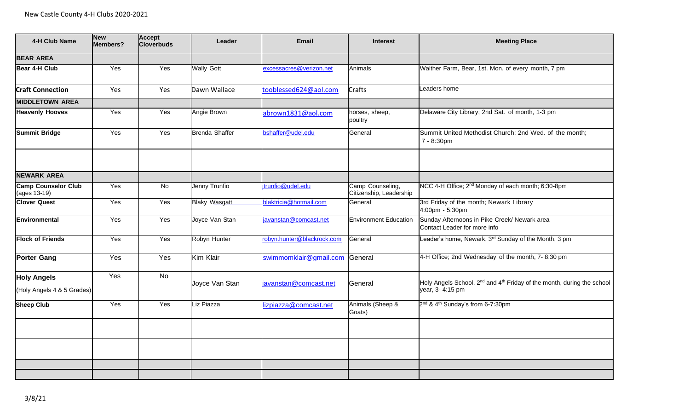| 4-H Club Name                              | <b>New</b><br><b>Members?</b> | Accept<br><b>Cloverbuds</b> | Leader                | <b>Email</b>               | <b>Interest</b>                             | <b>Meeting Place</b>                                                                                              |
|--------------------------------------------|-------------------------------|-----------------------------|-----------------------|----------------------------|---------------------------------------------|-------------------------------------------------------------------------------------------------------------------|
| <b>BEAR AREA</b>                           |                               |                             |                       |                            |                                             |                                                                                                                   |
| Bear 4-H Club                              | Yes                           | Yes                         | <b>Wally Gott</b>     | excessacres@verizon.net    | Animals                                     | Walther Farm, Bear, 1st. Mon. of every month, 7 pm                                                                |
| <b>Craft Connection</b>                    | Yes                           | Yes                         | Dawn Wallace          | tooblessed624@aol.com      | Crafts                                      | eaders home                                                                                                       |
| <b>MIDDLETOWN AREA</b>                     |                               |                             |                       |                            |                                             |                                                                                                                   |
| <b>Heavenly Hooves</b>                     | Yes                           | Yes                         | Angie Brown           | abrown1831@aol.com         | horses, sheep,<br>poultry                   | Delaware City Library; 2nd Sat. of month, 1-3 pm                                                                  |
| <b>Summit Bridge</b>                       | Yes                           | Yes                         | <b>Brenda Shaffer</b> | bshaffer@udel.edu          | General                                     | Summit United Methodist Church; 2nd Wed. of the month;<br>7 - 8:30pm                                              |
|                                            |                               |                             |                       |                            |                                             |                                                                                                                   |
| <b>NEWARK AREA</b>                         |                               |                             |                       |                            |                                             |                                                                                                                   |
| <b>Camp Counselor Club</b><br>(ages 13-19) | Yes                           | No                          | Jenny Trunfio         | trunfio@udel.edu           | Camp Counseling,<br>Citizenship, Leadership | NCC 4-H Office; 2 <sup>nd</sup> Monday of each month; 6:30-8pm                                                    |
| <b>Clover Quest</b>                        | Yes                           | Yes                         | <b>Blaky Wasgatt</b>  | blaktricia@hotmail.com     | General                                     | 3rd Friday of the month; Newark Library<br>4:00pm - 5:30pm                                                        |
| Environmental                              | Yes                           | Yes                         | Joyce Van Stan        | javanstan@comcast.net      | <b>Environment Education</b>                | Sunday Afternoons in Pike Creek/ Newark area<br>Contact Leader for more info                                      |
| <b>Flock of Friends</b>                    | Yes                           | Yes                         | Robyn Hunter          | robyn.hunter@blackrock.com | General                                     | Leader's home, Newark, 3rd Sunday of the Month, 3 pm                                                              |
| <b>Porter Gang</b>                         | Yes                           | Yes                         | Kim Klair             | swimmomklair@gmail.com     | General                                     | 4-H Office; 2nd Wednesday of the month, 7-8:30 pm                                                                 |
| <b>Holy Angels</b>                         | Yes                           | <b>No</b>                   |                       |                            |                                             |                                                                                                                   |
| (Holy Angels 4 & 5 Grades)                 |                               |                             | Joyce Van Stan        | javanstan@comcast.net      | General                                     | Holy Angels School, 2 <sup>nd</sup> and 4 <sup>th</sup> Friday of the month, during the school<br>year, 3-4:15 pm |
| <b>Sheep Club</b>                          | Yes                           | Yes                         | Liz Piazza            | izpiazza@comcast.net       | Animals (Sheep &<br>Goats)                  | 2 <sup>nd</sup> & 4 <sup>th</sup> Sunday's from 6-7:30pm                                                          |
|                                            |                               |                             |                       |                            |                                             |                                                                                                                   |
|                                            |                               |                             |                       |                            |                                             |                                                                                                                   |
|                                            |                               |                             |                       |                            |                                             |                                                                                                                   |
|                                            |                               |                             |                       |                            |                                             |                                                                                                                   |